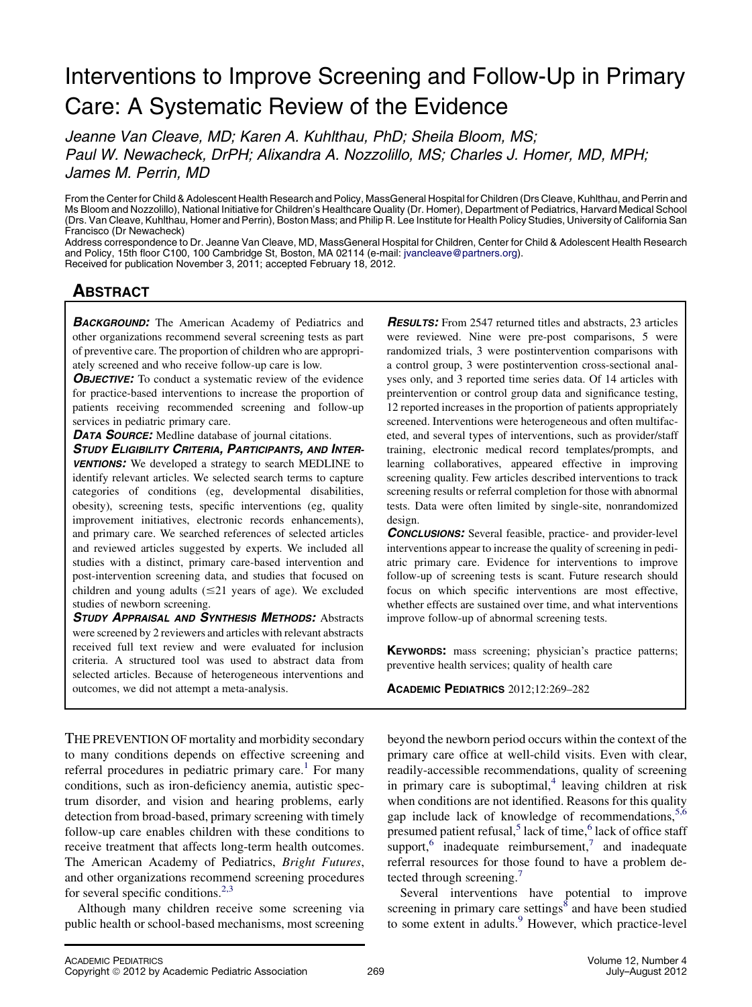# Interventions to Improve Screening and Follow-Up in Primary Care: A Systematic Review of the Evidence

Jeanne Van Cleave, MD; Karen A. Kuhlthau, PhD; Sheila Bloom, MS; Paul W. Newacheck, DrPH; Alixandra A. Nozzolillo, MS; Charles J. Homer, MD, MPH; James M. Perrin, MD

From the Center for Child & Adolescent Health Research and Policy, MassGeneral Hospital for Children (Drs Cleave, Kuhlthau, and Perrin and Ms Bloom and Nozzolillo), National Initiative for Children's Healthcare Quality (Dr. Homer), Department of Pediatrics, Harvard Medical School (Drs. Van Cleave, Kuhlthau, Homer and Perrin), Boston Mass; and Philip R. Lee Institute for Health Policy Studies, University of California San Francisco (Dr Newacheck)

Address correspondence to Dr. Jeanne Van Cleave, MD, MassGeneral Hospital for Children, Center for Child & Adolescent Health Research and Policy, 15th floor C100, 100 Cambridge St, Boston, MA 02114 (e-mail: [jvancleave@partners.org](mailto:jvancleave@partners.org)). Received for publication November 3, 2011; accepted February 18, 2012.

# **ABSTRACT**

**BACKGROUND:** The American Academy of Pediatrics and other organizations recommend several screening tests as part of preventive care. The proportion of children who are appropriately screened and who receive follow-up care is low.

**OBJECTIVE:** To conduct a systematic review of the evidence for practice-based interventions to increase the proportion of patients receiving recommended screening and follow-up services in pediatric primary care.

**DATA SOURCE:** Medline database of journal citations.

STUDY ELIGIBILITY CRITERIA, PARTICIPANTS, AND INTER-VENTIONS: We developed a strategy to search MEDLINE to identify relevant articles. We selected search terms to capture categories of conditions (eg, developmental disabilities, obesity), screening tests, specific interventions (eg, quality improvement initiatives, electronic records enhancements), and primary care. We searched references of selected articles and reviewed articles suggested by experts. We included all studies with a distinct, primary care-based intervention and post-intervention screening data, and studies that focused on children and young adults  $(\leq 21$  years of age). We excluded studies of newborn screening.

STUDY APPRAISAL AND SYNTHESIS METHODS: Abstracts were screened by 2 reviewers and articles with relevant abstracts received full text review and were evaluated for inclusion criteria. A structured tool was used to abstract data from selected articles. Because of heterogeneous interventions and outcomes, we did not attempt a meta-analysis.

**RESULTS:** From 2547 returned titles and abstracts, 23 articles were reviewed. Nine were pre-post comparisons, 5 were randomized trials, 3 were postintervention comparisons with a control group, 3 were postintervention cross-sectional analyses only, and 3 reported time series data. Of 14 articles with preintervention or control group data and significance testing, 12 reported increases in the proportion of patients appropriately screened. Interventions were heterogeneous and often multifaceted, and several types of interventions, such as provider/staff training, electronic medical record templates/prompts, and learning collaboratives, appeared effective in improving screening quality. Few articles described interventions to track screening results or referral completion for those with abnormal tests. Data were often limited by single-site, nonrandomized design.

**CONCLUSIONS:** Several feasible, practice- and provider-level interventions appear to increase the quality of screening in pediatric primary care. Evidence for interventions to improve follow-up of screening tests is scant. Future research should focus on which specific interventions are most effective, whether effects are sustained over time, and what interventions improve follow-up of abnormal screening tests.

KEYWORDS: mass screening; physician's practice patterns; preventive health services; quality of health care

ACADEMIC PEDIATRICS 2012;12:269–282

THE PREVENTION OF mortality and morbidity secondary to many conditions depends on effective screening and referral procedures in pediatric primary care.<sup>[1](#page-11-0)</sup> For many conditions, such as iron-deficiency anemia, autistic spectrum disorder, and vision and hearing problems, early detection from broad-based, primary screening with timely follow-up care enables children with these conditions to receive treatment that affects long-term health outcomes. The American Academy of Pediatrics, Bright Futures, and other organizations recommend screening procedures for several specific conditions.<sup>[2,3](#page-11-0)</sup>

Although many children receive some screening via public health or school-based mechanisms, most screening

beyond the newborn period occurs within the context of the primary care office at well-child visits. Even with clear, readily-accessible recommendations, quality of screening in primary care is suboptimal,<sup>[4](#page-11-0)</sup> leaving children at risk when conditions are not identified. Reasons for this quality gap include lack of knowledge of recommendations,  $5,6$ presumed patient refusal,<sup>[5](#page-11-0)</sup> lack of time,<sup>[6](#page-11-0)</sup> lack of office staff support, $6$  inadequate reimbursement, $7$  and inadequate referral resources for those found to have a problem de-tected through screening.<sup>[7](#page-11-0)</sup>

Several interventions have potential to improve screening in primary care settings<sup>[8](#page-11-0)</sup> and have been studied to some extent in adults.<sup>9</sup> However, which practice-level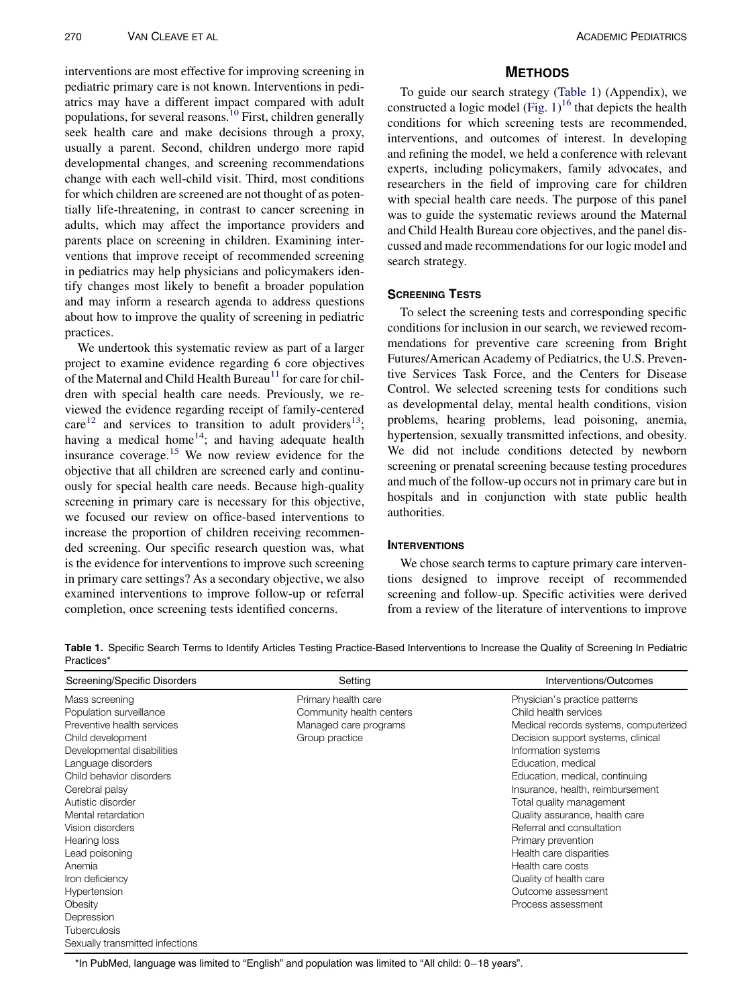<span id="page-1-0"></span>interventions are most effective for improving screening in pediatric primary care is not known. Interventions in pediatrics may have a different impact compared with adult populations, for several reasons.<sup>[10](#page-11-0)</sup> First, children generally seek health care and make decisions through a proxy, usually a parent. Second, children undergo more rapid developmental changes, and screening recommendations change with each well-child visit. Third, most conditions for which children are screened are not thought of as potentially life-threatening, in contrast to cancer screening in adults, which may affect the importance providers and parents place on screening in children. Examining interventions that improve receipt of recommended screening in pediatrics may help physicians and policymakers identify changes most likely to benefit a broader population and may inform a research agenda to address questions about how to improve the quality of screening in pediatric practices.

We undertook this systematic review as part of a larger project to examine evidence regarding 6 core objectives of the Maternal and Child Health Bureau<sup>[11](#page-11-0)</sup> for care for children with special health care needs. Previously, we reviewed the evidence regarding receipt of family-centered care<sup>[12](#page-11-0)</sup> and services to transition to adult providers<sup>13</sup>; having a medical home<sup>14</sup>; and having adequate health insurance coverage.[15](#page-11-0) We now review evidence for the objective that all children are screened early and continuously for special health care needs. Because high-quality screening in primary care is necessary for this objective, we focused our review on office-based interventions to increase the proportion of children receiving recommended screening. Our specific research question was, what is the evidence for interventions to improve such screening in primary care settings? As a secondary objective, we also examined interventions to improve follow-up or referral completion, once screening tests identified concerns.

# **METHODS**

To guide our search strategy (Table 1) (Appendix), we constructed a logic model (Fig.  $1$ )<sup>[16](#page-11-0)</sup> that depicts the health conditions for which screening tests are recommended, interventions, and outcomes of interest. In developing and refining the model, we held a conference with relevant experts, including policymakers, family advocates, and researchers in the field of improving care for children with special health care needs. The purpose of this panel was to guide the systematic reviews around the Maternal and Child Health Bureau core objectives, and the panel discussed and made recommendations for our logic model and search strategy.

# **SCREENING TESTS**

To select the screening tests and corresponding specific conditions for inclusion in our search, we reviewed recommendations for preventive care screening from Bright Futures/American Academy of Pediatrics, the U.S. Preventive Services Task Force, and the Centers for Disease Control. We selected screening tests for conditions such as developmental delay, mental health conditions, vision problems, hearing problems, lead poisoning, anemia, hypertension, sexually transmitted infections, and obesity. We did not include conditions detected by newborn screening or prenatal screening because testing procedures and much of the follow-up occurs not in primary care but in hospitals and in conjunction with state public health authorities.

#### **INTERVENTIONS**

We chose search terms to capture primary care interventions designed to improve receipt of recommended screening and follow-up. Specific activities were derived from a review of the literature of interventions to improve

Table 1. Specific Search Terms to Identify Articles Testing Practice-Based Interventions to Increase the Quality of Screening In Pediatric Practices\*

| Screening/Specific Disorders    | Setting                  | Interventions/Outcomes                |
|---------------------------------|--------------------------|---------------------------------------|
| Mass screening                  | Primary health care      | Physician's practice patterns         |
| Population surveillance         | Community health centers | Child health services                 |
| Preventive health services      | Managed care programs    | Medical records systems, computerized |
| Child development               | Group practice           | Decision support systems, clinical    |
| Developmental disabilities      |                          | Information systems                   |
| Language disorders              |                          | Education, medical                    |
| Child behavior disorders        |                          | Education, medical, continuing        |
| Cerebral palsy                  |                          | Insurance, health, reimbursement      |
| Autistic disorder               |                          | Total quality management              |
| Mental retardation              |                          | Quality assurance, health care        |
| Vision disorders                |                          | Referral and consultation             |
| Hearing loss                    |                          | Primary prevention                    |
| Lead poisoning                  |                          | Health care disparities               |
| Anemia                          |                          | Health care costs                     |
| Iron deficiency                 |                          | Quality of health care                |
| Hypertension                    |                          | Outcome assessment                    |
| Obesity                         |                          | Process assessment                    |
| Depression                      |                          |                                       |
| Tuberculosis                    |                          |                                       |
| Sexually transmitted infections |                          |                                       |

\*In PubMed, language was limited to "English" and population was limited to "All child: 0-18 years".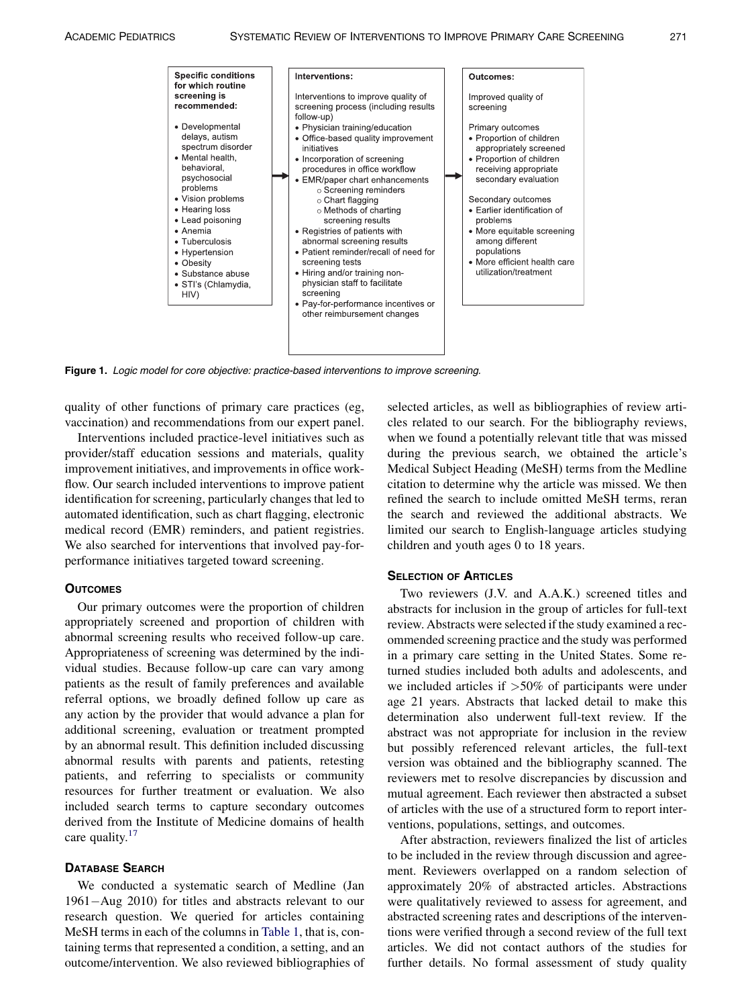<span id="page-2-0"></span>

Figure 1. Logic model for core objective: practice-based interventions to improve screening.

quality of other functions of primary care practices (eg, vaccination) and recommendations from our expert panel.

Interventions included practice-level initiatives such as provider/staff education sessions and materials, quality improvement initiatives, and improvements in office workflow. Our search included interventions to improve patient identification for screening, particularly changes that led to automated identification, such as chart flagging, electronic medical record (EMR) reminders, and patient registries. We also searched for interventions that involved pay-forperformance initiatives targeted toward screening.

#### **OUTCOMES**

Our primary outcomes were the proportion of children appropriately screened and proportion of children with abnormal screening results who received follow-up care. Appropriateness of screening was determined by the individual studies. Because follow-up care can vary among patients as the result of family preferences and available referral options, we broadly defined follow up care as any action by the provider that would advance a plan for additional screening, evaluation or treatment prompted by an abnormal result. This definition included discussing abnormal results with parents and patients, retesting patients, and referring to specialists or community resources for further treatment or evaluation. We also included search terms to capture secondary outcomes derived from the Institute of Medicine domains of health care quality. $17$ 

# DATABASE SEARCH

We conducted a systematic search of Medline (Jan  $1961 - \text{Aug } 2010$  for titles and abstracts relevant to our research question. We queried for articles containing MeSH terms in each of the columns in [Table 1,](#page-1-0) that is, containing terms that represented a condition, a setting, and an outcome/intervention. We also reviewed bibliographies of

selected articles, as well as bibliographies of review articles related to our search. For the bibliography reviews, when we found a potentially relevant title that was missed during the previous search, we obtained the article's Medical Subject Heading (MeSH) terms from the Medline citation to determine why the article was missed. We then refined the search to include omitted MeSH terms, reran the search and reviewed the additional abstracts. We limited our search to English-language articles studying children and youth ages 0 to 18 years.

# **SELECTION OF ARTICLES**

Two reviewers (J.V. and A.A.K.) screened titles and abstracts for inclusion in the group of articles for full-text review. Abstracts were selected if the study examined a recommended screening practice and the study was performed in a primary care setting in the United States. Some returned studies included both adults and adolescents, and we included articles if >50% of participants were under age 21 years. Abstracts that lacked detail to make this determination also underwent full-text review. If the abstract was not appropriate for inclusion in the review but possibly referenced relevant articles, the full-text version was obtained and the bibliography scanned. The reviewers met to resolve discrepancies by discussion and mutual agreement. Each reviewer then abstracted a subset of articles with the use of a structured form to report interventions, populations, settings, and outcomes.

After abstraction, reviewers finalized the list of articles to be included in the review through discussion and agreement. Reviewers overlapped on a random selection of approximately 20% of abstracted articles. Abstractions were qualitatively reviewed to assess for agreement, and abstracted screening rates and descriptions of the interventions were verified through a second review of the full text articles. We did not contact authors of the studies for further details. No formal assessment of study quality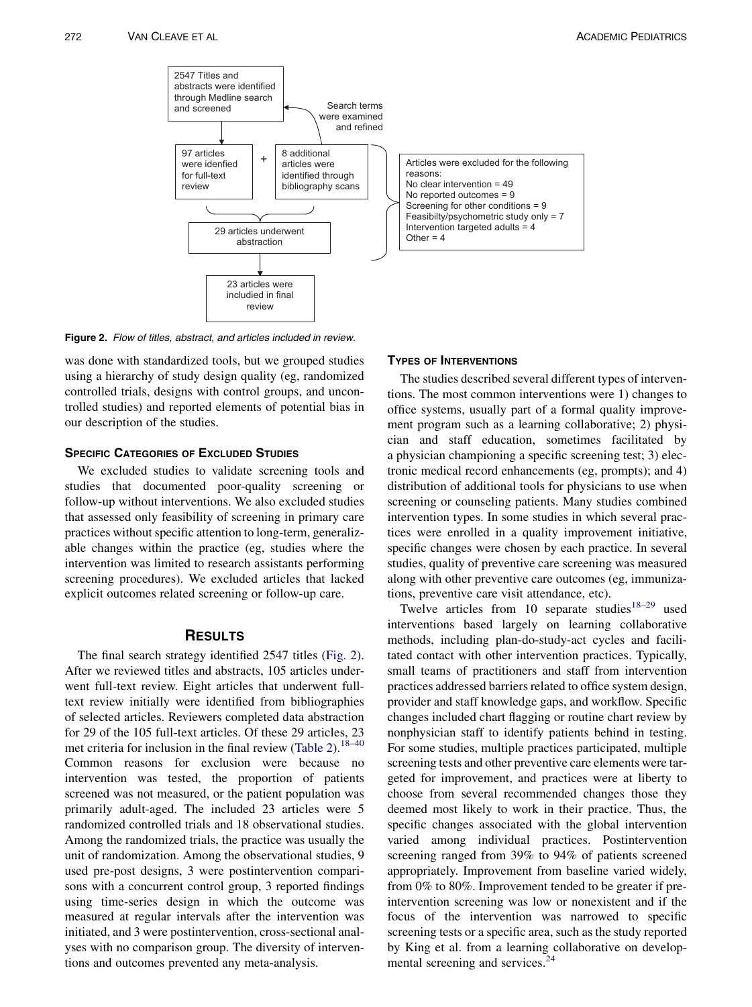

Figure 2. Flow of titles, abstract, and articles included in review.

was done with standardized tools, but we grouped studies using a hierarchy of study design quality (eg, randomized controlled trials, designs with control groups, and uncontrolled studies) and reported elements of potential bias in our description of the studies.

# SPECIFIC CATEGORIES OF EXCLUDED STUDIES

We excluded studies to validate screening tools and studies that documented poor-quality screening or follow-up without interventions. We also excluded studies that assessed only feasibility of screening in primary care practices without specific attention to long-term, generalizable changes within the practice (eg, studies where the intervention was limited to research assistants performing screening procedures). We excluded articles that lacked explicit outcomes related screening or follow-up care.

# RESULTS

The final search strategy identified 2547 titles (Fig. 2). After we reviewed titles and abstracts, 105 articles underwent full-text review. Eight articles that underwent fulltext review initially were identified from bibliographies of selected articles. Reviewers completed data abstraction for 29 of the 105 full-text articles. Of these 29 articles, 23 met criteria for inclusion in the final review [\(Table 2](#page-5-0)). $18-40$ Common reasons for exclusion were because no intervention was tested, the proportion of patients screened was not measured, or the patient population was primarily adult-aged. The included 23 articles were 5 randomized controlled trials and 18 observational studies. Among the randomized trials, the practice was usually the unit of randomization. Among the observational studies, 9 used pre-post designs, 3 were postintervention comparisons with a concurrent control group, 3 reported findings using time-series design in which the outcome was measured at regular intervals after the intervention was initiated, and 3 were postintervention, cross-sectional analyses with no comparison group. The diversity of interventions and outcomes prevented any meta-analysis.

# TYPES OF INTERVENTIONS

The studies described several different types of interventions. The most common interventions were 1) changes to office systems, usually part of a formal quality improvement program such as a learning collaborative; 2) physician and staff education, sometimes facilitated by a physician championing a specific screening test; 3) electronic medical record enhancements (eg, prompts); and 4) distribution of additional tools for physicians to use when screening or counseling patients. Many studies combined intervention types. In some studies in which several practices were enrolled in a quality improvement initiative, specific changes were chosen by each practice. In several studies, quality of preventive care screening was measured along with other preventive care outcomes (eg, immunizations, preventive care visit attendance, etc).

Twelve articles from 10 separate studies<sup>[18–29](#page-11-0)</sup> used interventions based largely on learning collaborative methods, including plan-do-study-act cycles and facilitated contact with other intervention practices. Typically, small teams of practitioners and staff from intervention practices addressed barriers related to office system design, provider and staff knowledge gaps, and workflow. Specific changes included chart flagging or routine chart review by nonphysician staff to identify patients behind in testing. For some studies, multiple practices participated, multiple screening tests and other preventive care elements were targeted for improvement, and practices were at liberty to choose from several recommended changes those they deemed most likely to work in their practice. Thus, the specific changes associated with the global intervention varied among individual practices. Postintervention screening ranged from 39% to 94% of patients screened appropriately. Improvement from baseline varied widely, from 0% to 80%. Improvement tended to be greater if preintervention screening was low or nonexistent and if the focus of the intervention was narrowed to specific screening tests or a specific area, such as the study reported by King et al. from a learning collaborative on develop-mental screening and services.<sup>[24](#page-12-0)</sup>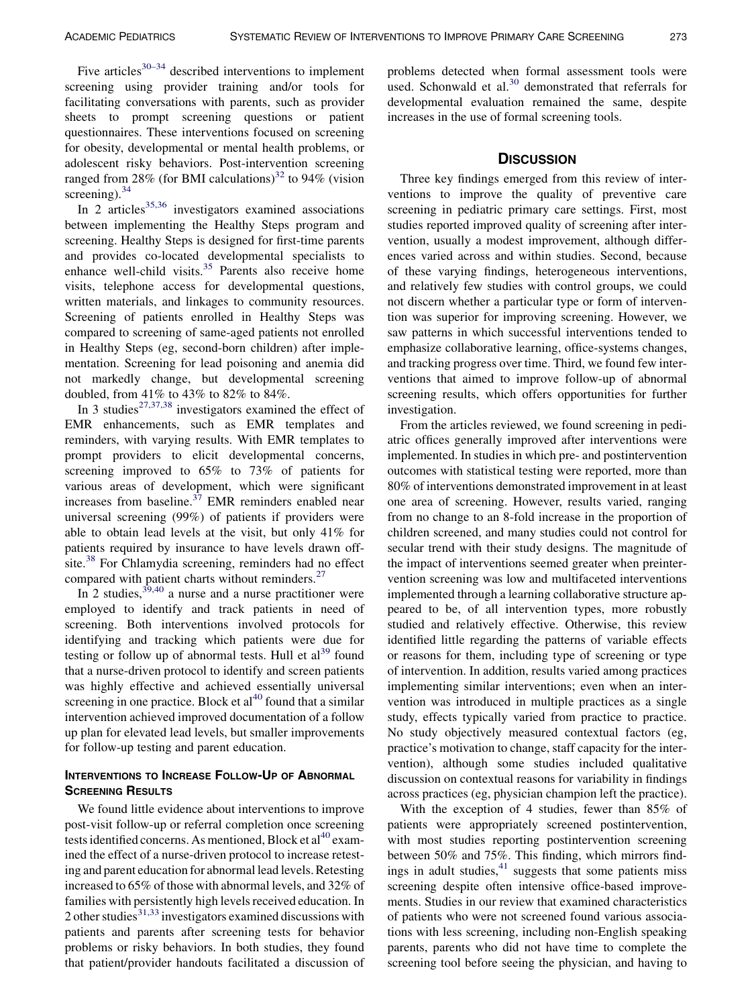Five articles $30-34$  described interventions to implement screening using provider training and/or tools for facilitating conversations with parents, such as provider sheets to prompt screening questions or patient questionnaires. These interventions focused on screening for obesity, developmental or mental health problems, or adolescent risky behaviors. Post-intervention screening ranged from 28% (for BMI calculations)<sup>[32](#page-12-0)</sup> to 94% (vision screening). $34$ 

In 2 articles $^{35,36}$  $^{35,36}$  $^{35,36}$  investigators examined associations between implementing the Healthy Steps program and screening. Healthy Steps is designed for first-time parents and provides co-located developmental specialists to enhance well-child visits.<sup>[35](#page-12-0)</sup> Parents also receive home visits, telephone access for developmental questions, written materials, and linkages to community resources. Screening of patients enrolled in Healthy Steps was compared to screening of same-aged patients not enrolled in Healthy Steps (eg, second-born children) after implementation. Screening for lead poisoning and anemia did not markedly change, but developmental screening doubled, from 41% to 43% to 82% to 84%.

In 3 studies<sup>[27,37,38](#page-12-0)</sup> investigators examined the effect of EMR enhancements, such as EMR templates and reminders, with varying results. With EMR templates to prompt providers to elicit developmental concerns, screening improved to 65% to 73% of patients for various areas of development, which were significant increases from baseline. $37$  EMR reminders enabled near universal screening (99%) of patients if providers were able to obtain lead levels at the visit, but only 41% for patients required by insurance to have levels drawn off-site.<sup>[38](#page-12-0)</sup> For Chlamydia screening, reminders had no effect compared with patient charts without reminders.<sup>[27](#page-12-0)</sup>

In 2 studies,  $39,40$  a nurse and a nurse practitioner were employed to identify and track patients in need of screening. Both interventions involved protocols for identifying and tracking which patients were due for testing or follow up of abnormal tests. Hull et  $al<sup>39</sup>$  $al<sup>39</sup>$  $al<sup>39</sup>$  found that a nurse-driven protocol to identify and screen patients was highly effective and achieved essentially universal screening in one practice. Block et  $al<sup>40</sup>$  $al<sup>40</sup>$  $al<sup>40</sup>$  found that a similar intervention achieved improved documentation of a follow up plan for elevated lead levels, but smaller improvements for follow-up testing and parent education.

# INTERVENTIONS TO INCREASE FOLLOW-UP OF ABNORMAL **SCREENING RESULTS**

We found little evidence about interventions to improve post-visit follow-up or referral completion once screening tests identified concerns. As mentioned, Block et  $al^{40}$  $al^{40}$  $al^{40}$  examined the effect of a nurse-driven protocol to increase retesting and parent education for abnormal lead levels. Retesting increased to 65% of those with abnormal levels, and 32% of families with persistently high levels received education. In 2 other studies $31,33$  investigators examined discussions with patients and parents after screening tests for behavior problems or risky behaviors. In both studies, they found that patient/provider handouts facilitated a discussion of

problems detected when formal assessment tools were used. Schonwald et al. $30$  demonstrated that referrals for developmental evaluation remained the same, despite increases in the use of formal screening tools.

### **DISCUSSION**

Three key findings emerged from this review of interventions to improve the quality of preventive care screening in pediatric primary care settings. First, most studies reported improved quality of screening after intervention, usually a modest improvement, although differences varied across and within studies. Second, because of these varying findings, heterogeneous interventions, and relatively few studies with control groups, we could not discern whether a particular type or form of intervention was superior for improving screening. However, we saw patterns in which successful interventions tended to emphasize collaborative learning, office-systems changes, and tracking progress over time. Third, we found few interventions that aimed to improve follow-up of abnormal screening results, which offers opportunities for further investigation.

From the articles reviewed, we found screening in pediatric offices generally improved after interventions were implemented. In studies in which pre- and postintervention outcomes with statistical testing were reported, more than 80% of interventions demonstrated improvement in at least one area of screening. However, results varied, ranging from no change to an 8-fold increase in the proportion of children screened, and many studies could not control for secular trend with their study designs. The magnitude of the impact of interventions seemed greater when preintervention screening was low and multifaceted interventions implemented through a learning collaborative structure appeared to be, of all intervention types, more robustly studied and relatively effective. Otherwise, this review identified little regarding the patterns of variable effects or reasons for them, including type of screening or type of intervention. In addition, results varied among practices implementing similar interventions; even when an intervention was introduced in multiple practices as a single study, effects typically varied from practice to practice. No study objectively measured contextual factors (eg, practice's motivation to change, staff capacity for the intervention), although some studies included qualitative discussion on contextual reasons for variability in findings across practices (eg, physician champion left the practice).

With the exception of 4 studies, fewer than 85% of patients were appropriately screened postintervention, with most studies reporting postintervention screening between 50% and 75%. This finding, which mirrors findings in adult studies, $41$  suggests that some patients miss screening despite often intensive office-based improvements. Studies in our review that examined characteristics of patients who were not screened found various associations with less screening, including non-English speaking parents, parents who did not have time to complete the screening tool before seeing the physician, and having to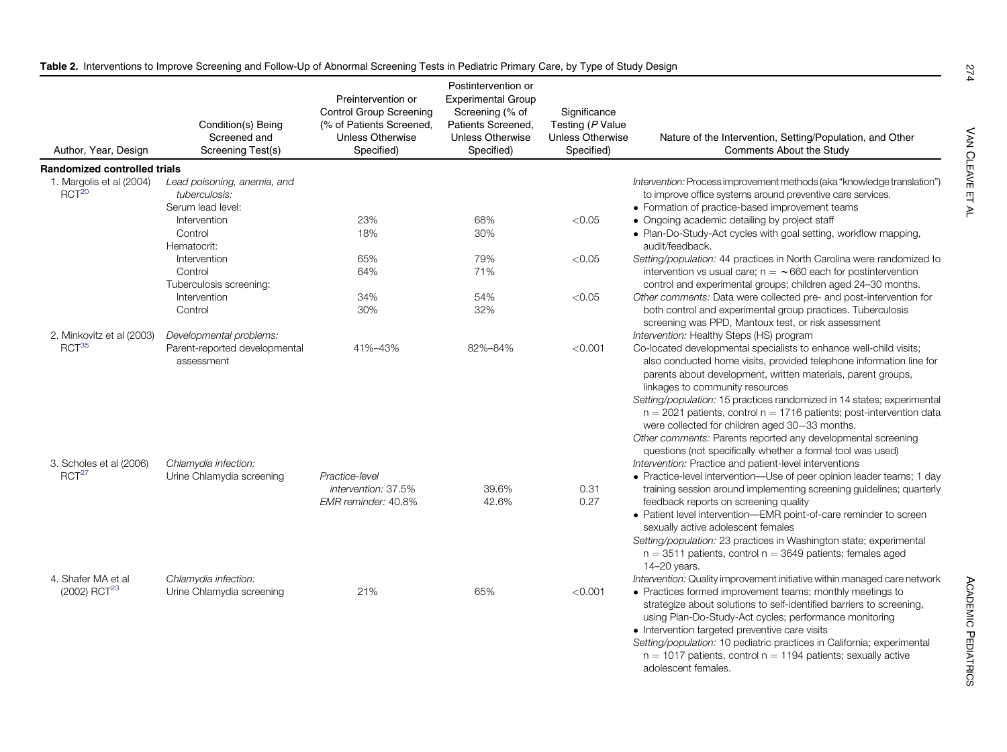| Author, Year, Design                          | Condition(s) Being<br>Screened and<br>Screening Test(s)           | Preintervention or<br><b>Control Group Screening</b><br>(% of Patients Screened,<br><b>Unless Otherwise</b><br>Specified) | Postintervention or<br><b>Experimental Group</b><br>Screening (% of<br>Patients Screened,<br><b>Unless Otherwise</b><br>Specified) | Significance<br>Testing (P Value<br><b>Unless Otherwise</b><br>Specified) | Nature of the Intervention, Setting/Population, and Other<br>Comments About the Study                                                                                                                                                                                                                                                                                                                                                                                                                                                                                               |
|-----------------------------------------------|-------------------------------------------------------------------|---------------------------------------------------------------------------------------------------------------------------|------------------------------------------------------------------------------------------------------------------------------------|---------------------------------------------------------------------------|-------------------------------------------------------------------------------------------------------------------------------------------------------------------------------------------------------------------------------------------------------------------------------------------------------------------------------------------------------------------------------------------------------------------------------------------------------------------------------------------------------------------------------------------------------------------------------------|
| <b>Randomized controlled trials</b>           |                                                                   |                                                                                                                           |                                                                                                                                    |                                                                           |                                                                                                                                                                                                                                                                                                                                                                                                                                                                                                                                                                                     |
| 1. Margolis et al (2004)<br>RCT <sup>20</sup> | Lead poisoning, anemia, and<br>tuberculosis:<br>Serum lead level: |                                                                                                                           |                                                                                                                                    |                                                                           | Intervention: Process improvement methods (aka "knowledge translation")<br>to improve office systems around preventive care services.<br>• Formation of practice-based improvement teams                                                                                                                                                                                                                                                                                                                                                                                            |
|                                               | Intervention                                                      | 23%                                                                                                                       | 68%                                                                                                                                | < 0.05                                                                    | • Ongoing academic detailing by project staff                                                                                                                                                                                                                                                                                                                                                                                                                                                                                                                                       |
|                                               | Control                                                           | 18%                                                                                                                       | 30%                                                                                                                                |                                                                           | • Plan-Do-Study-Act cycles with goal setting, workflow mapping,                                                                                                                                                                                                                                                                                                                                                                                                                                                                                                                     |
|                                               | Hematocrit:                                                       |                                                                                                                           |                                                                                                                                    |                                                                           | audit/feedback.                                                                                                                                                                                                                                                                                                                                                                                                                                                                                                                                                                     |
|                                               | Intervention                                                      | 65%                                                                                                                       | 79%                                                                                                                                | < 0.05                                                                    | Setting/population: 44 practices in North Carolina were randomized to                                                                                                                                                                                                                                                                                                                                                                                                                                                                                                               |
|                                               | Control                                                           | 64%                                                                                                                       | 71%                                                                                                                                |                                                                           | intervention vs usual care; $n = \sim 660$ each for postintervention                                                                                                                                                                                                                                                                                                                                                                                                                                                                                                                |
|                                               | Tuberculosis screening:                                           |                                                                                                                           |                                                                                                                                    |                                                                           | control and experimental groups; children aged 24-30 months.                                                                                                                                                                                                                                                                                                                                                                                                                                                                                                                        |
|                                               | Intervention                                                      | 34%                                                                                                                       | 54%                                                                                                                                | < 0.05                                                                    | Other comments: Data were collected pre- and post-intervention for                                                                                                                                                                                                                                                                                                                                                                                                                                                                                                                  |
|                                               | Control                                                           | 30%                                                                                                                       | 32%                                                                                                                                |                                                                           | both control and experimental group practices. Tuberculosis<br>screening was PPD, Mantoux test, or risk assessment                                                                                                                                                                                                                                                                                                                                                                                                                                                                  |
| 2. Minkovitz et al (2003)                     | Developmental problems:                                           |                                                                                                                           |                                                                                                                                    |                                                                           | Intervention: Healthy Steps (HS) program                                                                                                                                                                                                                                                                                                                                                                                                                                                                                                                                            |
| RCT <sup>35</sup>                             | Parent-reported developmental<br>assessment                       | 41%-43%                                                                                                                   | 82%-84%                                                                                                                            | < 0.001                                                                   | Co-located developmental specialists to enhance well-child visits;<br>also conducted home visits, provided telephone information line for<br>parents about development, written materials, parent groups,<br>linkages to community resources<br>Setting/population: 15 practices randomized in 14 states; experimental<br>$n = 2021$ patients, control $n = 1716$ patients; post-intervention data<br>were collected for children aged 30-33 months.<br>Other comments: Parents reported any developmental screening<br>questions (not specifically whether a formal tool was used) |
| 3. Scholes et al (2006)                       | Chlamydia infection:                                              |                                                                                                                           |                                                                                                                                    |                                                                           | Intervention: Practice and patient-level interventions                                                                                                                                                                                                                                                                                                                                                                                                                                                                                                                              |
| $RCT^{27}$                                    | Urine Chlamydia screening                                         | Practice-level                                                                                                            |                                                                                                                                    |                                                                           | • Practice-level intervention-Use of peer opinion leader teams; 1 day                                                                                                                                                                                                                                                                                                                                                                                                                                                                                                               |
|                                               |                                                                   | intervention: 37.5%<br>EMR reminder: 40.8%                                                                                | 39.6%<br>42.6%                                                                                                                     | 0.31<br>0.27                                                              | training session around implementing screening guidelines; quarterly<br>feedback reports on screening quality<br>• Patient level intervention-EMR point-of-care reminder to screen<br>sexually active adolescent females<br>Setting/population: 23 practices in Washington state; experimental<br>$n = 3511$ patients, control $n = 3649$ patients; females aged<br>14-20 years.                                                                                                                                                                                                    |
| 4. Shafer MA et al                            | Chlamydia infection:                                              |                                                                                                                           |                                                                                                                                    |                                                                           | Intervention: Quality improvement initiative within managed care network                                                                                                                                                                                                                                                                                                                                                                                                                                                                                                            |
| (2002) RCT <sup>23</sup>                      | Urine Chlamydia screening                                         | 21%                                                                                                                       | 65%                                                                                                                                | < 0.001                                                                   | • Practices formed improvement teams; monthly meetings to<br>strategize about solutions to self-identified barriers to screening,<br>using Plan-Do-Study-Act cycles; performance monitoring<br>• Intervention targeted preventive care visits<br>Setting/population: 10 pediatric practices in California; experimental<br>$n = 1017$ patients, control $n = 1194$ patients; sexually active                                                                                                                                                                                        |

adolescent females.

#### <span id="page-5-0"></span>Table 2. Interventions to Improve Screening and Follow-Up of Abnormal Screening Tests in Pediatric Primary Care, by Type of Study Design

274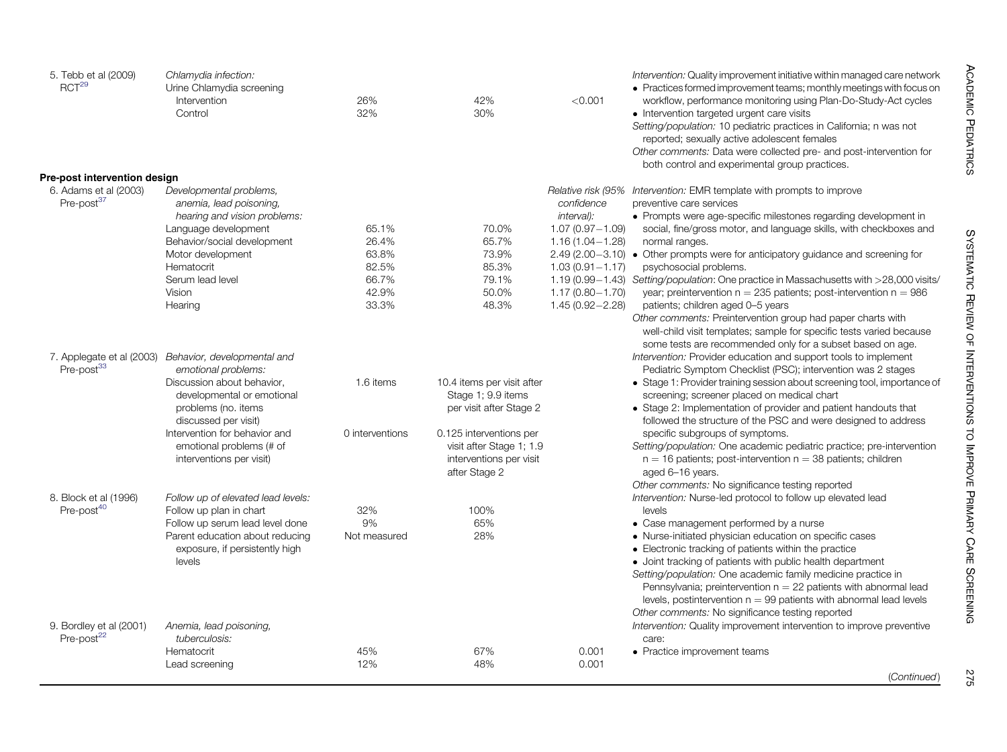| 5. Tebb et al (2009)<br>$RCT^{29}$                                              | Chlamydia infection:<br>Urine Chlamydia screening<br>Intervention<br>Control                                                                                                                                                                                                     | 26%<br>32%                                                  | 42%<br>30%                                                                                                                                                                     | < 0.001                                                                                                                                     | Intervention: Quality improvement initiative within managed care network<br>• Practices formed improvement teams; monthly meetings with focus on<br>workflow, performance monitoring using Plan-Do-Study-Act cycles<br>• Intervention targeted urgent care visits<br>Setting/population: 10 pediatric practices in California; n was not<br>reported; sexually active adolescent females<br>Other comments: Data were collected pre- and post-intervention for<br>both control and experimental group practices.                                                                                                                                                                                                                                                                          |
|---------------------------------------------------------------------------------|----------------------------------------------------------------------------------------------------------------------------------------------------------------------------------------------------------------------------------------------------------------------------------|-------------------------------------------------------------|--------------------------------------------------------------------------------------------------------------------------------------------------------------------------------|---------------------------------------------------------------------------------------------------------------------------------------------|-------------------------------------------------------------------------------------------------------------------------------------------------------------------------------------------------------------------------------------------------------------------------------------------------------------------------------------------------------------------------------------------------------------------------------------------------------------------------------------------------------------------------------------------------------------------------------------------------------------------------------------------------------------------------------------------------------------------------------------------------------------------------------------------|
| Pre-post intervention design<br>6. Adams et al (2003)<br>Pre-post <sup>37</sup> | Developmental problems,<br>anemia, lead poisoning,<br>hearing and vision problems:<br>Language development<br>Behavior/social development<br>Motor development<br>Hematocrit<br>Serum lead level<br>Vision<br>Hearing                                                            | 65.1%<br>26.4%<br>63.8%<br>82.5%<br>66.7%<br>42.9%<br>33.3% | 70.0%<br>65.7%<br>73.9%<br>85.3%<br>79.1%<br>50.0%<br>48.3%                                                                                                                    | confidence<br>interval):<br>$1.07(0.97 - 1.09)$<br>$1.16(1.04 - 1.28)$<br>$1.03(0.91 - 1.17)$<br>$1.17(0.80 - 1.70)$<br>$1.45(0.92 - 2.28)$ | Relative risk (95% Intervention: EMR template with prompts to improve<br>preventive care services<br>• Prompts were age-specific milestones regarding development in<br>social, fine/gross motor, and language skills, with checkboxes and<br>normal ranges.<br>2.49 (2.00-3.10) • Other prompts were for anticipatory guidance and screening for<br>psychosocial problems.<br>1.19 (0.99-1.43) Setting/population: One practice in Massachusetts with >28,000 visits/<br>year; preintervention $n = 235$ patients; post-intervention $n = 986$<br>patients; children aged 0-5 years<br>Other comments: Preintervention group had paper charts with<br>well-child visit templates; sample for specific tests varied because<br>some tests are recommended only for a subset based on age. |
| Pre-post <sup>33</sup>                                                          | 7. Applegate et al (2003) Behavior, developmental and<br>emotional problems:<br>Discussion about behavior,<br>developmental or emotional<br>problems (no. items<br>discussed per visit)<br>Intervention for behavior and<br>emotional problems (# of<br>interventions per visit) | 1.6 items<br>0 interventions                                | 10.4 items per visit after<br>Stage 1; 9.9 items<br>per visit after Stage 2<br>0.125 interventions per<br>visit after Stage 1; 1.9<br>interventions per visit<br>after Stage 2 |                                                                                                                                             | Intervention: Provider education and support tools to implement<br>Pediatric Symptom Checklist (PSC); intervention was 2 stages<br>• Stage 1: Provider training session about screening tool, importance of<br>screening; screener placed on medical chart<br>• Stage 2: Implementation of provider and patient handouts that<br>followed the structure of the PSC and were designed to address<br>specific subgroups of symptoms.<br>Setting/population: One academic pediatric practice; pre-intervention<br>$n = 16$ patients; post-intervention $n = 38$ patients; children<br>aged 6-16 years.<br>Other comments: No significance testing reported                                                                                                                                   |
| 8. Block et al (1996)<br>Pre-post <sup>40</sup>                                 | Follow up of elevated lead levels:<br>Follow up plan in chart<br>Follow up serum lead level done<br>Parent education about reducing<br>exposure, if persistently high<br>levels                                                                                                  | 32%<br>9%<br>Not measured                                   | 100%<br>65%<br>28%                                                                                                                                                             |                                                                                                                                             | Intervention: Nurse-led protocol to follow up elevated lead<br>levels<br>• Case management performed by a nurse<br>• Nurse-initiated physician education on specific cases<br>• Electronic tracking of patients within the practice<br>• Joint tracking of patients with public health department<br>Setting/population: One academic family medicine practice in<br>Pennsylvania; preintervention $n = 22$ patients with abnormal lead<br>levels, postintervention $n = 99$ patients with abnormal lead levels<br>Other comments: No significance testing reported                                                                                                                                                                                                                       |
| 9. Bordley et al (2001)<br>Pre-post <sup>22</sup>                               | Anemia, lead poisoning,<br>tuberculosis:<br>Hematocrit<br>Lead screening                                                                                                                                                                                                         | 45%<br>12%                                                  | 67%<br>48%                                                                                                                                                                     | 0.001<br>0.001                                                                                                                              | Intervention: Quality improvement intervention to improve preventive<br>care:<br>• Practice improvement teams<br>(Continued)                                                                                                                                                                                                                                                                                                                                                                                                                                                                                                                                                                                                                                                              |

INTERVENTIONS TO

IMPROVE

**PRIMARY** 

CARE

SCREENING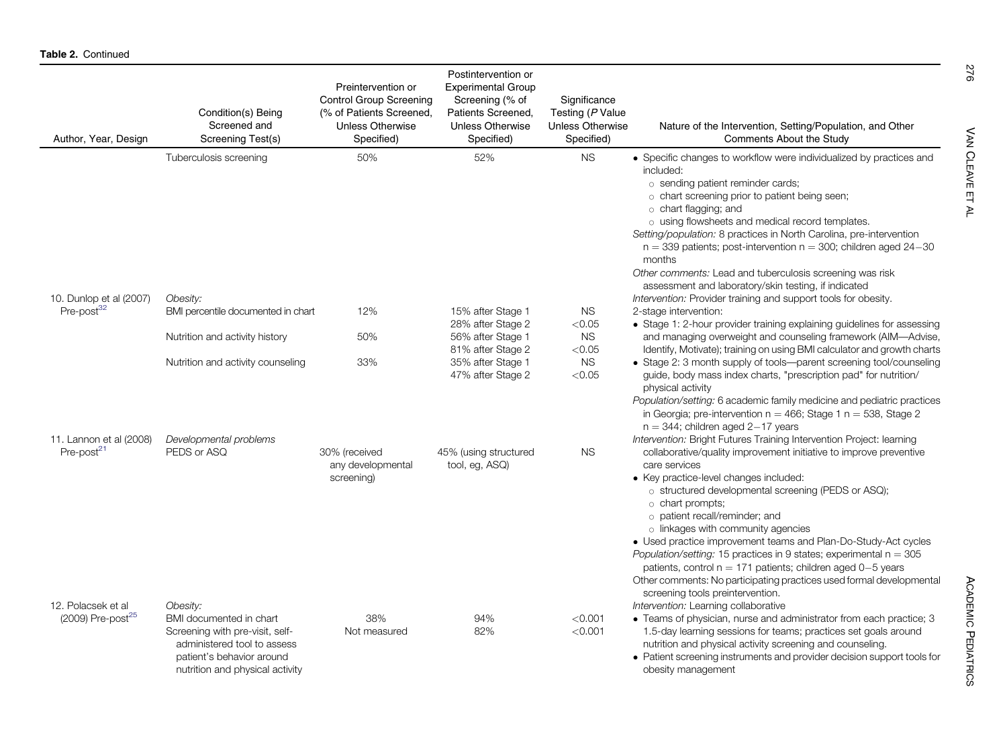| Author, Year, Design                              | Condition(s) Being<br>Screened and<br>Screening Test(s)                                                                                                   | Preintervention or<br><b>Control Group Screening</b><br>(% of Patients Screened,<br><b>Unless Otherwise</b><br>Specified) | Postintervention or<br><b>Experimental Group</b><br>Screening (% of<br>Patients Screened,<br><b>Unless Otherwise</b><br>Specified) | Significance<br>Testing (P Value<br><b>Unless Otherwise</b><br>Specified) | Nature of the Intervention, Setting/Population, and Other<br>Comments About the Study                                                                                                                                                                                                                                                                                                                                                                                                                                                                                                                                     |
|---------------------------------------------------|-----------------------------------------------------------------------------------------------------------------------------------------------------------|---------------------------------------------------------------------------------------------------------------------------|------------------------------------------------------------------------------------------------------------------------------------|---------------------------------------------------------------------------|---------------------------------------------------------------------------------------------------------------------------------------------------------------------------------------------------------------------------------------------------------------------------------------------------------------------------------------------------------------------------------------------------------------------------------------------------------------------------------------------------------------------------------------------------------------------------------------------------------------------------|
|                                                   | Tuberculosis screening                                                                                                                                    | 50%                                                                                                                       | 52%                                                                                                                                | <b>NS</b>                                                                 | • Specific changes to workflow were individualized by practices and<br>included:<br>$\circ$ sending patient reminder cards;<br>o chart screening prior to patient being seen;<br>o chart flagging; and<br>$\circ$ using flowsheets and medical record templates.<br>Setting/population: 8 practices in North Carolina, pre-intervention<br>$n = 339$ patients; post-intervention $n = 300$ ; children aged 24-30<br>months<br>Other comments: Lead and tuberculosis screening was risk<br>assessment and laboratory/skin testing, if indicated                                                                            |
| 10. Dunlop et al (2007)<br>Pre-post <sup>32</sup> | Obesity:<br>BMI percentile documented in chart                                                                                                            | 12%                                                                                                                       | 15% after Stage 1                                                                                                                  | <b>NS</b>                                                                 | Intervention: Provider training and support tools for obesity.<br>2-stage intervention:                                                                                                                                                                                                                                                                                                                                                                                                                                                                                                                                   |
|                                                   |                                                                                                                                                           |                                                                                                                           | 28% after Stage 2                                                                                                                  | < 0.05                                                                    | • Stage 1: 2-hour provider training explaining guidelines for assessing                                                                                                                                                                                                                                                                                                                                                                                                                                                                                                                                                   |
|                                                   | Nutrition and activity history                                                                                                                            | 50%                                                                                                                       | 56% after Stage 1<br>81% after Stage 2                                                                                             | <b>NS</b><br>< 0.05                                                       | and managing overweight and counseling framework (AIM-Advise,<br>Identify, Motivate); training on using BMI calculator and growth charts                                                                                                                                                                                                                                                                                                                                                                                                                                                                                  |
|                                                   | Nutrition and activity counseling                                                                                                                         | 33%                                                                                                                       | 35% after Stage 1<br>47% after Stage 2                                                                                             | <b>NS</b><br>< 0.05                                                       | • Stage 2: 3 month supply of tools--parent screening tool/counseling<br>guide, body mass index charts, "prescription pad" for nutrition/<br>physical activity<br>Population/setting: 6 academic family medicine and pediatric practices<br>in Georgia; pre-intervention $n = 466$ ; Stage 1 $n = 538$ , Stage 2<br>$n = 344$ ; children aged 2-17 years                                                                                                                                                                                                                                                                   |
| 11. Lannon et al (2008)                           | Developmental problems                                                                                                                                    |                                                                                                                           |                                                                                                                                    |                                                                           | Intervention: Bright Futures Training Intervention Project: learning                                                                                                                                                                                                                                                                                                                                                                                                                                                                                                                                                      |
| Pre-post <sup>21</sup>                            | PEDS or ASQ                                                                                                                                               | 30% (received<br>any developmental<br>screening)                                                                          | 45% (using structured<br>tool, eg, ASQ)                                                                                            | <b>NS</b>                                                                 | collaborative/quality improvement initiative to improve preventive<br>care services<br>• Key practice-level changes included:<br>$\circ$ structured developmental screening (PEDS or ASQ);<br>$\circ$ chart prompts;<br>o patient recall/reminder; and<br>$\circ$ linkages with community agencies<br>• Used practice improvement teams and Plan-Do-Study-Act cycles<br>Population/setting: 15 practices in 9 states; experimental $n = 305$<br>patients, control $n = 171$ patients; children aged 0-5 years<br>Other comments: No participating practices used formal developmental<br>screening tools preintervention. |
| 12. Polacsek et al                                | Obesity:                                                                                                                                                  |                                                                                                                           |                                                                                                                                    |                                                                           | Intervention: Learning collaborative                                                                                                                                                                                                                                                                                                                                                                                                                                                                                                                                                                                      |
| (2009) Pre-post <sup>25</sup>                     | BMI documented in chart<br>Screening with pre-visit, self-<br>administered tool to assess<br>patient's behavior around<br>nutrition and physical activity | 38%<br>Not measured                                                                                                       | 94%<br>82%                                                                                                                         | < 0.001<br>< 0.001                                                        | • Teams of physician, nurse and administrator from each practice; 3<br>1.5-day learning sessions for teams; practices set goals around<br>nutrition and physical activity screening and counseling.<br>• Patient screening instruments and provider decision support tools for<br>obesity management                                                                                                                                                                                                                                                                                                                      |

276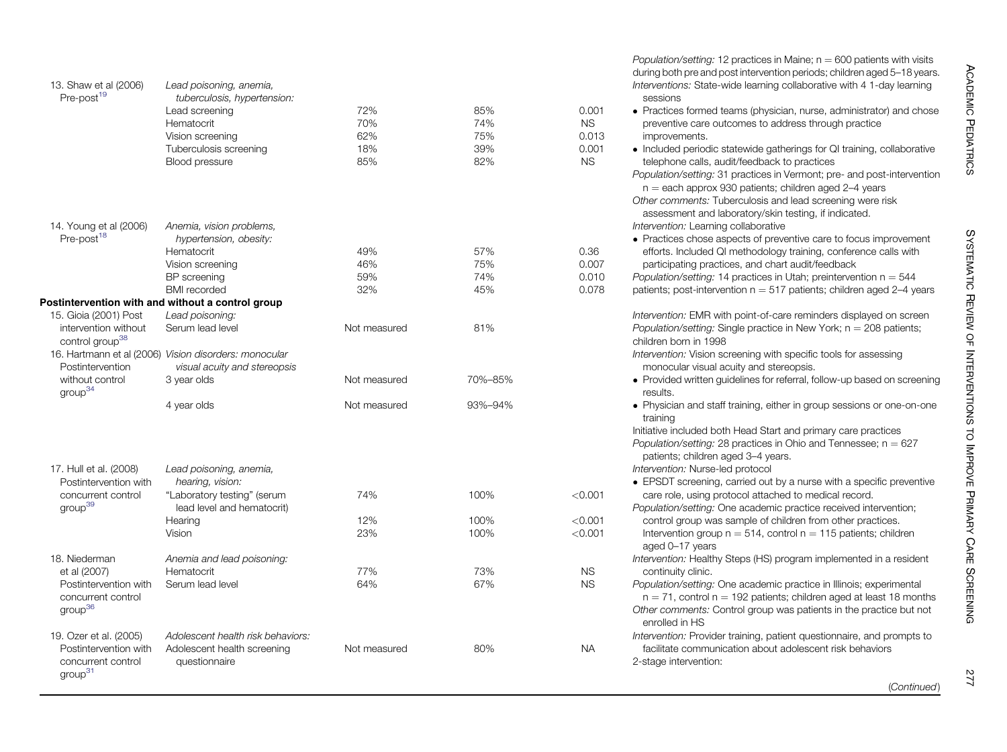| Interventions: State-wide learning collaborative with 4 1-day learning                        |  |
|-----------------------------------------------------------------------------------------------|--|
| sessions                                                                                      |  |
| • Practices formed teams (physician, nurse, administrator) and chose                          |  |
| preventive care outcomes to address through practice                                          |  |
| improvements.                                                                                 |  |
| • Included periodic statewide gatherings for QI training, collaborative                       |  |
| telephone calls, audit/feedback to practices                                                  |  |
| Population/setting: 31 practices in Vermont; pre- and post-intervention                       |  |
| $n =$ each approx 930 patients; children aged 2-4 years                                       |  |
| Other comments: Tuberculosis and lead screening were risk                                     |  |
| assessment and laboratory/skin testing, if indicated.                                         |  |
| Intervention: Learning collaborative                                                          |  |
| • Practices chose aspects of preventive care to focus improvement                             |  |
| efforts. Included QI methodology training, conference calls with                              |  |
| participating practices, and chart audit/feedback                                             |  |
| Population/setting: 14 practices in Utah; preintervention $n = 544$                           |  |
| patients; post-intervention n = 517 patients; children aged 2-4 years                         |  |
|                                                                                               |  |
| Intervention: EMR with point-of-care reminders displayed on screen                            |  |
| Population/setting: Single practice in New York; $n = 208$ patients;                          |  |
| children born in 1998                                                                         |  |
| Intervention: Vision screening with specific tools for assessing                              |  |
| monocular visual acuity and stereopsis.                                                       |  |
| • Provided written guidelines for referral, follow-up based on screening                      |  |
| results.                                                                                      |  |
| • Physician and staff training, either in group sessions or one-on-one                        |  |
| training                                                                                      |  |
| Initiative included both Head Start and primary care practices                                |  |
| Population/setting: 28 practices in Ohio and Tennessee; $n = 627$                             |  |
| patients; children aged 3-4 years.                                                            |  |
| Intervention: Nurse-led protocol                                                              |  |
| • EPSDT screening, carried out by a nurse with a specific preventive                          |  |
| care role, using protocol attached to medical record.                                         |  |
| Population/setting: One academic practice received intervention;                              |  |
| control group was sample of children from other practices.                                    |  |
| Intervention group $n = 514$ , control $n = 115$ patients; children                           |  |
| aged 0-17 years                                                                               |  |
| Intervention: Healthy Steps (HS) program implemented in a resident                            |  |
|                                                                                               |  |
| continuity clinic.                                                                            |  |
| Population/setting: One academic practice in Illinois; experimental                           |  |
| $n = 71$ , control $n = 192$ patients; children aged at least 18 months                       |  |
| Other comments: Control group was patients in the practice but not                            |  |
| enrolled in HS<br>andiano. Dua dalam buatado e carattano personalizzaren al artera<br>$1 - 4$ |  |
|                                                                                               |  |

*Population/setting:* 12 practices in Maine;  $n = 600$  patients with visits during both pre and post intervention periods; children aged 5–18 years.

| 13. Shaw et al (2006)<br>Pre-post <sup>19</sup> | Lead poisoning, anemia,<br>tuberculosis, hypertension: |              |         |           | Interventions: State-wide learning collaborative with 4 1-day learning<br>sessions                                                                                                                                                                       |
|-------------------------------------------------|--------------------------------------------------------|--------------|---------|-----------|----------------------------------------------------------------------------------------------------------------------------------------------------------------------------------------------------------------------------------------------------------|
|                                                 | Lead screening                                         | 72%          | 85%     | 0.001     | • Practices formed teams (physician, nurse, administrator) and chose                                                                                                                                                                                     |
|                                                 | Hematocrit                                             | 70%          | 74%     | NS.       | preventive care outcomes to address through practice                                                                                                                                                                                                     |
|                                                 | Vision screening                                       | 62%          | 75%     | 0.013     | improvements.                                                                                                                                                                                                                                            |
|                                                 | Tuberculosis screening                                 | 18%          | 39%     | 0.001     | • Included periodic statewide gatherings for QI training, collaborative                                                                                                                                                                                  |
|                                                 | Blood pressure                                         | 85%          | 82%     | <b>NS</b> | telephone calls, audit/feedback to practices                                                                                                                                                                                                             |
|                                                 |                                                        |              |         |           | Population/setting: 31 practices in Vermont; pre- and post-intervention<br>$n =$ each approx 930 patients; children aged 2-4 years<br>Other comments: Tuberculosis and lead screening were risk<br>assessment and laboratory/skin testing, if indicated. |
| 14. Young et al (2006)                          | Anemia, vision problems,                               |              |         |           | Intervention: Learning collaborative                                                                                                                                                                                                                     |
| Pre-post <sup>18</sup>                          | hypertension, obesity:                                 |              |         |           | • Practices chose aspects of preventive care to focus improvement                                                                                                                                                                                        |
|                                                 | Hematocrit                                             | 49%          | 57%     | 0.36      | efforts. Included QI methodology training, conference calls with                                                                                                                                                                                         |
|                                                 | Vision screening                                       | 46%          | 75%     | 0.007     | participating practices, and chart audit/feedback                                                                                                                                                                                                        |
|                                                 | BP screening                                           | 59%          | 74%     | 0.010     | Population/setting: 14 practices in Utah; preintervention $n = 544$                                                                                                                                                                                      |
|                                                 | <b>BMI</b> recorded                                    | 32%          | 45%     | 0.078     | patients; post-intervention $n = 517$ patients; children aged 2-4 years                                                                                                                                                                                  |
|                                                 | Postintervention with and without a control group      |              |         |           |                                                                                                                                                                                                                                                          |
| 15. Gioia (2001) Post                           | Lead poisoning:                                        |              |         |           | Intervention: EMR with point-of-care reminders displayed on screen                                                                                                                                                                                       |
| intervention without                            | Serum lead level                                       | Not measured | 81%     |           | Population/setting: Single practice in New York; $n = 208$ patients;                                                                                                                                                                                     |
| control group <sup>38</sup>                     |                                                        |              |         |           | children born in 1998                                                                                                                                                                                                                                    |
|                                                 | 16. Hartmann et al (2006) Vision disorders: monocular  |              |         |           | Intervention: Vision screening with specific tools for assessing                                                                                                                                                                                         |
| Postintervention                                | visual acuity and stereopsis                           |              |         |           | monocular visual acuity and stereopsis.                                                                                                                                                                                                                  |
| without control                                 | 3 year olds                                            | Not measured | 70%-85% |           | • Provided written quidelines for referral, follow-up based on screening                                                                                                                                                                                 |
| $group^{34}$                                    |                                                        |              |         |           | results.                                                                                                                                                                                                                                                 |
|                                                 | 4 year olds                                            | Not measured | 93%-94% |           | • Physician and staff training, either in group sessions or one-on-one                                                                                                                                                                                   |
|                                                 |                                                        |              |         |           | training                                                                                                                                                                                                                                                 |
|                                                 |                                                        |              |         |           | Initiative included both Head Start and primary care practices                                                                                                                                                                                           |
|                                                 |                                                        |              |         |           | Population/setting: 28 practices in Ohio and Tennessee; $n = 627$                                                                                                                                                                                        |
|                                                 |                                                        |              |         |           | patients; children aged 3-4 years.                                                                                                                                                                                                                       |
| 17. Hull et al. (2008)                          | Lead poisoning, anemia,                                |              |         |           | Intervention: Nurse-led protocol                                                                                                                                                                                                                         |
| Postintervention with                           | hearing, vision:                                       |              |         |           | • EPSDT screening, carried out by a nurse with a specific preventive                                                                                                                                                                                     |
| concurrent control                              | "Laboratory testing" (serum                            | 74%          | 100%    | < 0.001   | care role, using protocol attached to medical record.                                                                                                                                                                                                    |
| group <sup>39</sup>                             | lead level and hematocrit)                             |              |         |           | Population/setting: One academic practice received intervention;                                                                                                                                                                                         |
|                                                 | Hearing                                                | 12%          | 100%    | < 0.001   | control group was sample of children from other practices.                                                                                                                                                                                               |
|                                                 | Vision                                                 | 23%          | 100%    | < 0.001   | Intervention group $n = 514$ , control $n = 115$ patients; children                                                                                                                                                                                      |
|                                                 |                                                        |              |         |           | aged 0-17 years                                                                                                                                                                                                                                          |
| 18. Niederman                                   | Anemia and lead poisoning:                             |              |         |           | Intervention: Healthy Steps (HS) program implemented in a resident                                                                                                                                                                                       |
| et al (2007)                                    | Hematocrit                                             | 77%          | 73%     | <b>NS</b> | continuity clinic.                                                                                                                                                                                                                                       |
| Postintervention with                           | Serum lead level                                       | 64%          | 67%     | <b>NS</b> | Population/setting: One academic practice in Illinois; experimental                                                                                                                                                                                      |
| concurrent control                              |                                                        |              |         |           | $n = 71$ , control $n = 192$ patients; children aged at least 18 months                                                                                                                                                                                  |
| $group^{36}$                                    |                                                        |              |         |           | Other comments: Control group was patients in the practice but not                                                                                                                                                                                       |
|                                                 |                                                        |              |         |           | enrolled in HS                                                                                                                                                                                                                                           |
| 19. Ozer et al. (2005)                          | Adolescent health risk behaviors:                      |              |         |           | Intervention: Provider training, patient questionnaire, and prompts to                                                                                                                                                                                   |
| Postintervention with                           | Adolescent health screening                            | Not measured | 80%     | <b>NA</b> | facilitate communication about adolescent risk behaviors                                                                                                                                                                                                 |
| concurrent control<br>$group^{31}$              | questionnaire                                          |              |         |           | 2-stage intervention:                                                                                                                                                                                                                                    |

277

(Continued)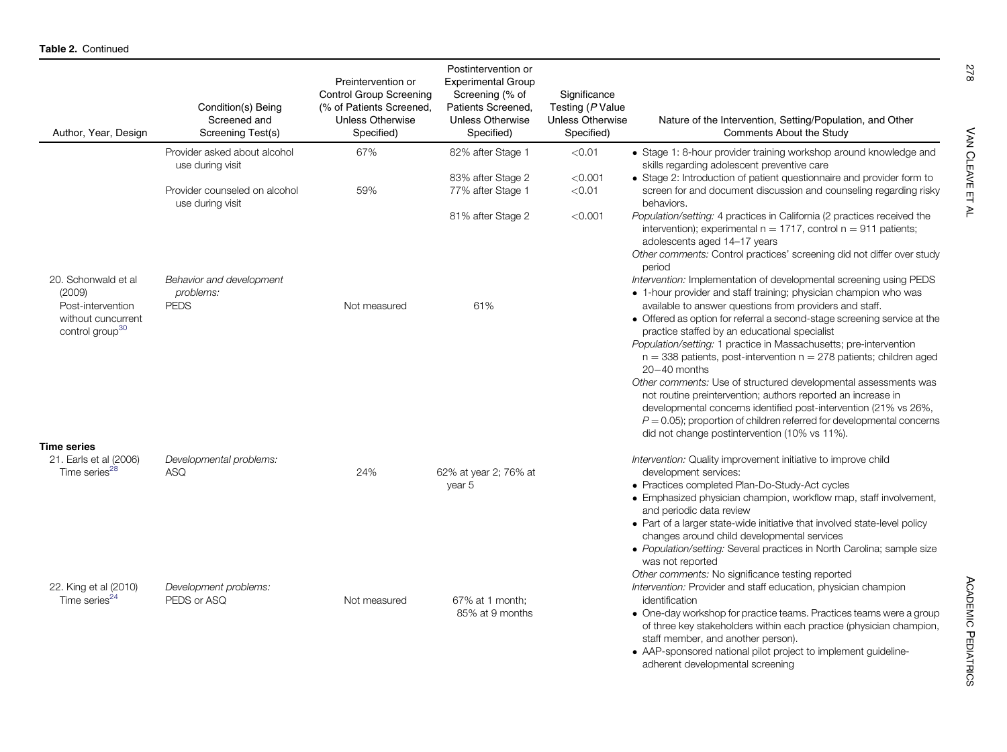| Author, Year, Design                               | Condition(s) Being<br>Screened and<br>Screening Test(s) | Preintervention or<br><b>Control Group Screening</b><br>(% of Patients Screened,<br><b>Unless Otherwise</b><br>Specified) | Postintervention or<br><b>Experimental Group</b><br>Screening (% of<br>Patients Screened,<br><b>Unless Otherwise</b><br>Specified) | Significance<br>Testing (P Value<br><b>Unless Otherwise</b><br>Specified) | Nature of the Intervention, Setting/Population, and Other<br>Comments About the Study                                                                                                                                                                                                                                            |
|----------------------------------------------------|---------------------------------------------------------|---------------------------------------------------------------------------------------------------------------------------|------------------------------------------------------------------------------------------------------------------------------------|---------------------------------------------------------------------------|----------------------------------------------------------------------------------------------------------------------------------------------------------------------------------------------------------------------------------------------------------------------------------------------------------------------------------|
|                                                    | Provider asked about alcohol                            | 67%                                                                                                                       | 82% after Stage 1                                                                                                                  | < 0.01                                                                    | • Stage 1: 8-hour provider training workshop around knowledge and                                                                                                                                                                                                                                                                |
|                                                    | use during visit                                        |                                                                                                                           | 83% after Stage 2                                                                                                                  | < 0.001                                                                   | skills regarding adolescent preventive care<br>• Stage 2: Introduction of patient questionnaire and provider form to                                                                                                                                                                                                             |
|                                                    | Provider counseled on alcohol<br>use during visit       | 59%                                                                                                                       | 77% after Stage 1                                                                                                                  | < 0.01                                                                    | screen for and document discussion and counseling regarding risky<br>behaviors.                                                                                                                                                                                                                                                  |
|                                                    |                                                         |                                                                                                                           | 81% after Stage 2                                                                                                                  | < 0.001                                                                   | Population/setting: 4 practices in California (2 practices received the<br>intervention); experimental $n = 1717$ , control $n = 911$ patients;<br>adolescents aged 14-17 years                                                                                                                                                  |
|                                                    |                                                         |                                                                                                                           |                                                                                                                                    |                                                                           | Other comments: Control practices' screening did not differ over study<br>period                                                                                                                                                                                                                                                 |
| 20. Schonwald et al<br>(2009)<br>Post-intervention | Behavior and development<br>problems:<br><b>PEDS</b>    | Not measured                                                                                                              | 61%                                                                                                                                |                                                                           | <i>Intervention:</i> Implementation of developmental screening using PEDS<br>• 1-hour provider and staff training; physician champion who was<br>available to answer questions from providers and staff.                                                                                                                         |
| without cuncurrent<br>control group <sup>30</sup>  |                                                         |                                                                                                                           |                                                                                                                                    |                                                                           | • Offered as option for referral a second-stage screening service at the<br>practice staffed by an educational specialist                                                                                                                                                                                                        |
|                                                    |                                                         |                                                                                                                           |                                                                                                                                    |                                                                           | Population/setting: 1 practice in Massachusetts; pre-intervention<br>$n = 338$ patients, post-intervention $n = 278$ patients; children aged<br>20-40 months                                                                                                                                                                     |
|                                                    |                                                         |                                                                                                                           |                                                                                                                                    |                                                                           | Other comments: Use of structured developmental assessments was<br>not routine preintervention; authors reported an increase in<br>developmental concerns identified post-intervention (21% vs 26%,<br>$P = 0.05$ ); proportion of children referred for developmental concerns<br>did not change postintervention (10% vs 11%). |
| <b>Time series</b><br>21. Earls et al (2006)       | Developmental problems:                                 |                                                                                                                           |                                                                                                                                    |                                                                           | Intervention: Quality improvement initiative to improve child                                                                                                                                                                                                                                                                    |
| Time series <sup>28</sup>                          | <b>ASQ</b>                                              | 24%                                                                                                                       | 62% at year 2; 76% at                                                                                                              |                                                                           | development services:                                                                                                                                                                                                                                                                                                            |
|                                                    |                                                         |                                                                                                                           | year 5                                                                                                                             |                                                                           | • Practices completed Plan-Do-Study-Act cycles<br>• Emphasized physician champion, workflow map, staff involvement,<br>and periodic data review                                                                                                                                                                                  |
|                                                    |                                                         |                                                                                                                           |                                                                                                                                    |                                                                           | • Part of a larger state-wide initiative that involved state-level policy<br>changes around child developmental services                                                                                                                                                                                                         |
|                                                    |                                                         |                                                                                                                           |                                                                                                                                    |                                                                           | • Population/setting: Several practices in North Carolina; sample size<br>was not reported                                                                                                                                                                                                                                       |
|                                                    |                                                         |                                                                                                                           |                                                                                                                                    |                                                                           | Other comments: No significance testing reported                                                                                                                                                                                                                                                                                 |
| 22. King et al (2010)<br>Time series <sup>24</sup> | Development problems:<br>PEDS or ASO                    | Not measured                                                                                                              | 67% at 1 month;                                                                                                                    |                                                                           | Intervention: Provider and staff education, physician champion<br>identification                                                                                                                                                                                                                                                 |
|                                                    |                                                         |                                                                                                                           | 85% at 9 months                                                                                                                    |                                                                           | • One-day workshop for practice teams. Practices teams were a group<br>of three key stakeholders within each practice (physician champion,<br>staff member, and another person).<br>• AAP-sponsored national pilot project to implement guideline-                                                                               |
|                                                    |                                                         |                                                                                                                           |                                                                                                                                    |                                                                           | adherent developmental screening                                                                                                                                                                                                                                                                                                 |

278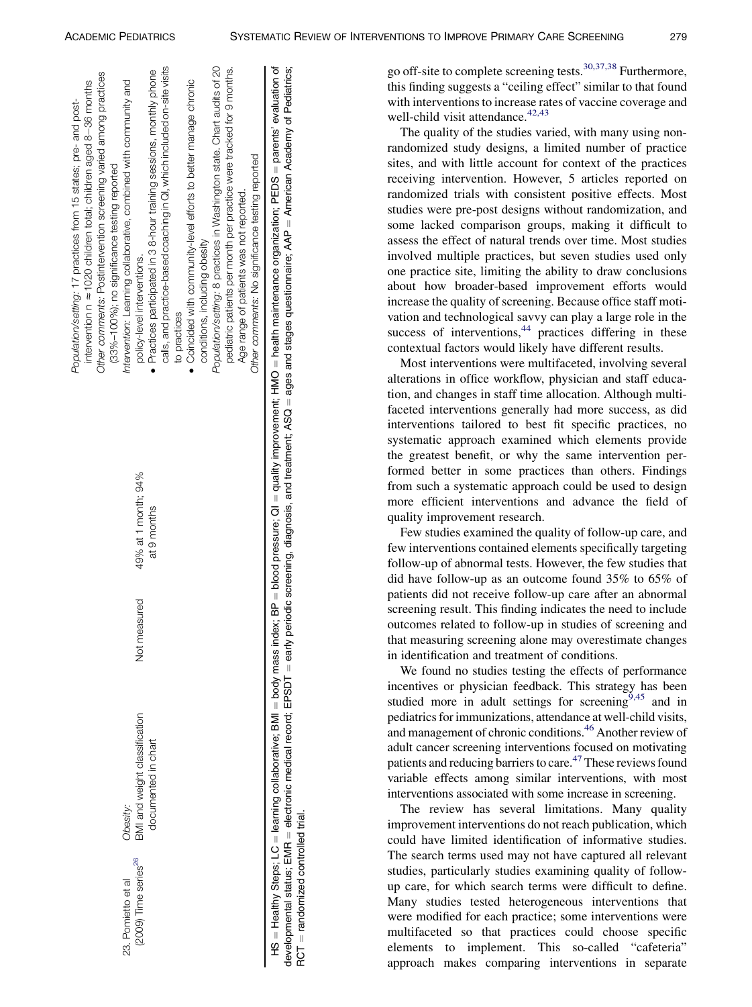| Other comments: No significance testing reported                        |                     |              |                               |                                  |
|-------------------------------------------------------------------------|---------------------|--------------|-------------------------------|----------------------------------|
| Age range of patients was not reported.                                 |                     |              |                               |                                  |
| pediatric patients per month per practice were tracked for 9 months.    |                     |              |                               |                                  |
| Population/setting: 8 practices in Washington state. Chart audits of 20 |                     |              |                               |                                  |
| conditions, including obesity                                           |                     |              |                               |                                  |
| • Coincided with community-level efforts to better manage chronic       |                     |              |                               |                                  |
| to practices                                                            |                     |              |                               |                                  |
| calls, and practice-based coaching in QI, which included on-site visits |                     |              |                               |                                  |
| Practices participated in 3 8-hour training sessions, monthly phone     | at 9 months         |              | documented in chart           |                                  |
| policy-level interventions.                                             | 49% at 1 month; 94% | Not measured | BMI and weight classification | (2009) Time series <sup>26</sup> |
| Intervention: Learning collaborative, combined with community and       |                     |              | Obesity:                      | 23. Pomietto et al               |
| (33%-100%); no significance testing reported                            |                     |              |                               |                                  |
| Other comments: Postintervention screening varied among practices       |                     |              |                               |                                  |
| intervention $n \approx 1020$ children total; children aged 8-36 months |                     |              |                               |                                  |
| Population/setting: 17 practices from 15 states; pre- and post-         |                     |              |                               |                                  |
|                                                                         |                     |              |                               |                                  |

go off-site to complete screening tests.<sup>[30,37,38](#page-12-0)</sup> Furthermore, this finding suggests a "ceiling effect" similar to that found with interventions to increase rates of vaccine coverage and well-child visit attendance. $42,43$ 

The quality of the studies varied, with many using nonrandomized study designs, a limited number of practice sites, and with little account for context of the practices receiving intervention. However, 5 articles reported on randomized trials with consistent positive effects. Most studies were pre-post designs without randomization, and some lacked comparison groups, making it difficult to assess the effect of natural trends over time. Most studies involved multiple practices, but seven studies used only one practice site, limiting the ability to draw conclusions about how broader-based improvement efforts would increase the quality of screening. Because office staff motivation and technological savvy can play a large role in the success of interventions, $44$  practices differing in these contextual factors would likely have different results.

Most interventions were multifaceted, involving several alterations in office workflow, physician and staff education, and changes in staff time allocation. Although multifaceted interventions generally had more success, as did interventions tailored to best fit specific practices, no systematic approach examined which elements provide the greatest benefit, or why the same intervention performed better in some practices than others. Findings from such a systematic approach could be used to design more efficient interventions and advance the field of quality improvement research.

Few studies examined the quality of follow-up care, and few interventions contained elements specifically targeting follow-up of abnormal tests. However, the few studies that did have follow-up as an outcome found 35% to 65% of patients did not receive follow-up care after an abnormal screening result. This finding indicates the need to include outcomes related to follow-up in studies of screening and that measuring screening alone may overestimate changes in identification and treatment of conditions.

We found no studies testing the effects of performance incentives or physician feedback. This strategy has been studied more in adult settings for screening<sup>[9,45](#page-11-0)</sup> and in pediatrics for immunizations, attendance at well-child visits, and management of chronic conditions.<sup>[46](#page-12-0)</sup> Another review of adult cancer screening interventions focused on motivating patients and reducing barriers to care.<sup>[47](#page-12-0)</sup> These reviews found variable effects among similar interventions, with most interventions associated with some increase in screening.

The review has several limitations. Many quality improvement interventions do not reach publication, which could have limited identification of informative studies. The search terms used may not have captured all relevant studies, particularly studies examining quality of followup care, for which search terms were difficult to define. Many studies tested heterogeneous interventions that were modified for each practice; some interventions were multifaceted so that practices could choose specific elements to implement. This so-called "cafeteria" approach makes comparing interventions in separate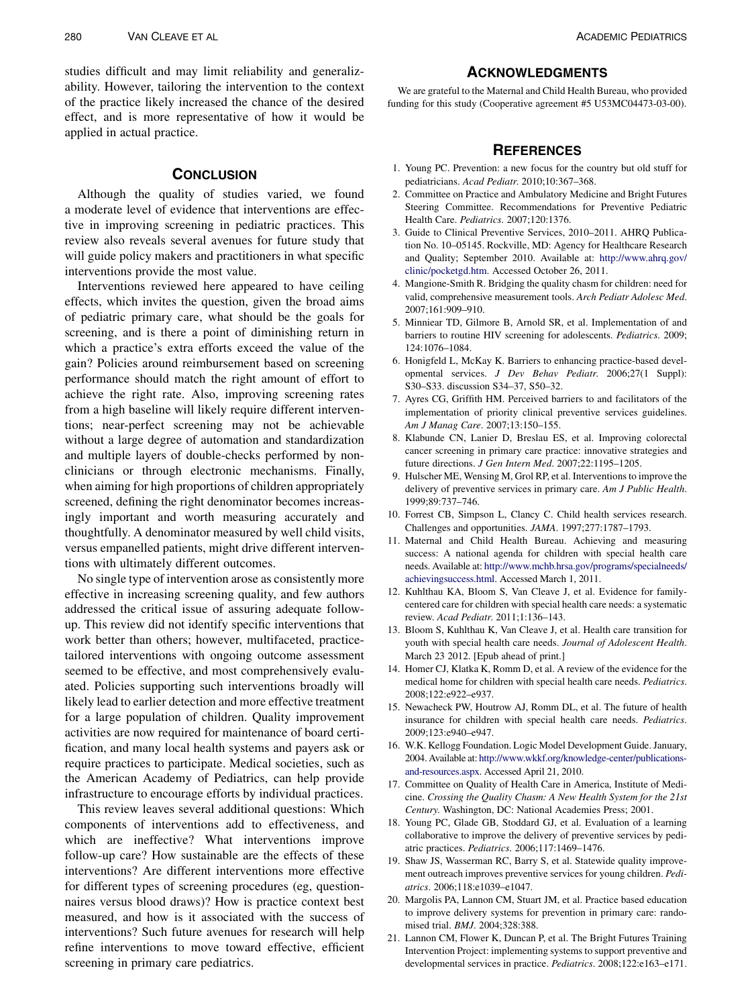<span id="page-11-0"></span>studies difficult and may limit reliability and generalizability. However, tailoring the intervention to the context of the practice likely increased the chance of the desired effect, and is more representative of how it would be applied in actual practice.

### **CONCLUSION**

Although the quality of studies varied, we found a moderate level of evidence that interventions are effective in improving screening in pediatric practices. This review also reveals several avenues for future study that will guide policy makers and practitioners in what specific interventions provide the most value.

Interventions reviewed here appeared to have ceiling effects, which invites the question, given the broad aims of pediatric primary care, what should be the goals for screening, and is there a point of diminishing return in which a practice's extra efforts exceed the value of the gain? Policies around reimbursement based on screening performance should match the right amount of effort to achieve the right rate. Also, improving screening rates from a high baseline will likely require different interventions; near-perfect screening may not be achievable without a large degree of automation and standardization and multiple layers of double-checks performed by nonclinicians or through electronic mechanisms. Finally, when aiming for high proportions of children appropriately screened, defining the right denominator becomes increasingly important and worth measuring accurately and thoughtfully. A denominator measured by well child visits, versus empanelled patients, might drive different interventions with ultimately different outcomes.

No single type of intervention arose as consistently more effective in increasing screening quality, and few authors addressed the critical issue of assuring adequate followup. This review did not identify specific interventions that work better than others; however, multifaceted, practicetailored interventions with ongoing outcome assessment seemed to be effective, and most comprehensively evaluated. Policies supporting such interventions broadly will likely lead to earlier detection and more effective treatment for a large population of children. Quality improvement activities are now required for maintenance of board certification, and many local health systems and payers ask or require practices to participate. Medical societies, such as the American Academy of Pediatrics, can help provide infrastructure to encourage efforts by individual practices.

This review leaves several additional questions: Which components of interventions add to effectiveness, and which are ineffective? What interventions improve follow-up care? How sustainable are the effects of these interventions? Are different interventions more effective for different types of screening procedures (eg, questionnaires versus blood draws)? How is practice context best measured, and how is it associated with the success of interventions? Such future avenues for research will help refine interventions to move toward effective, efficient screening in primary care pediatrics.

### ACKNOWLEDGMENTS

We are grateful to the Maternal and Child Health Bureau, who provided funding for this study (Cooperative agreement #5 U53MC04473-03-00).

#### **REFERENCES**

- 1. Young PC. Prevention: a new focus for the country but old stuff for pediatricians. Acad Pediatr. 2010;10:367–368.
- 2. Committee on Practice and Ambulatory Medicine and Bright Futures Steering Committee. Recommendations for Preventive Pediatric Health Care. Pediatrics. 2007;120:1376.
- 3. Guide to Clinical Preventive Services, 2010–2011. AHRQ Publication No. 10–05145. Rockville, MD: Agency for Healthcare Research and Quality; September 2010. Available at: [http://www.ahrq.gov/](http://www.ahrq.gov/clinic/pocketgd.htm) [clinic/pocketgd.htm.](http://www.ahrq.gov/clinic/pocketgd.htm) Accessed October 26, 2011.
- 4. Mangione-Smith R. Bridging the quality chasm for children: need for valid, comprehensive measurement tools. Arch Pediatr Adolesc Med. 2007;161:909–910.
- 5. Minniear TD, Gilmore B, Arnold SR, et al. Implementation of and barriers to routine HIV screening for adolescents. Pediatrics. 2009; 124:1076–1084.
- 6. Honigfeld L, McKay K. Barriers to enhancing practice-based developmental services. J Dev Behav Pediatr. 2006;27(1 Suppl): S30–S33. discussion S34–37, S50–32.
- 7. Ayres CG, Griffith HM. Perceived barriers to and facilitators of the implementation of priority clinical preventive services guidelines. Am J Manag Care. 2007;13:150–155.
- 8. Klabunde CN, Lanier D, Breslau ES, et al. Improving colorectal cancer screening in primary care practice: innovative strategies and future directions. J Gen Intern Med. 2007;22:1195–1205.
- 9. Hulscher ME, Wensing M, Grol RP, et al. Interventions to improve the delivery of preventive services in primary care. Am J Public Health. 1999;89:737–746.
- 10. Forrest CB, Simpson L, Clancy C. Child health services research. Challenges and opportunities. JAMA. 1997;277:1787–1793.
- 11. Maternal and Child Health Bureau. Achieving and measuring success: A national agenda for children with special health care needs. Available at: [http://www.mchb.hrsa.gov/programs/specialneeds/](http://www.mchb.hrsa.gov/programs/specialneeds/achievingsuccess.html) [achievingsuccess.html.](http://www.mchb.hrsa.gov/programs/specialneeds/achievingsuccess.html) Accessed March 1, 2011.
- 12. Kuhlthau KA, Bloom S, Van Cleave J, et al. Evidence for familycentered care for children with special health care needs: a systematic review. Acad Pediatr. 2011;1:136–143.
- 13. Bloom S, Kuhlthau K, Van Cleave J, et al. Health care transition for youth with special health care needs. Journal of Adolescent Health. March 23 2012. [Epub ahead of print.]
- 14. Homer CJ, Klatka K, Romm D, et al. A review of the evidence for the medical home for children with special health care needs. Pediatrics. 2008;122:e922–e937.
- 15. Newacheck PW, Houtrow AJ, Romm DL, et al. The future of health insurance for children with special health care needs. Pediatrics. 2009;123:e940–e947.
- 16. W.K. Kellogg Foundation. Logic Model Development Guide. January, 2004. Available at: [http://www.wkkf.org/knowledge-center/publications](http://www.wkkf.org/knowledge-center/publications-and-resources.aspx)[and-resources.aspx](http://www.wkkf.org/knowledge-center/publications-and-resources.aspx). Accessed April 21, 2010.
- 17. Committee on Quality of Health Care in America, Institute of Medicine. Crossing the Quality Chasm: A New Health System for the 21st Century. Washington, DC: National Academies Press; 2001.
- 18. Young PC, Glade GB, Stoddard GJ, et al. Evaluation of a learning collaborative to improve the delivery of preventive services by pediatric practices. Pediatrics. 2006;117:1469–1476.
- 19. Shaw JS, Wasserman RC, Barry S, et al. Statewide quality improvement outreach improves preventive services for young children. Pediatrics. 2006;118:e1039–e1047.
- 20. Margolis PA, Lannon CM, Stuart JM, et al. Practice based education to improve delivery systems for prevention in primary care: randomised trial. BMJ. 2004;328:388.
- 21. Lannon CM, Flower K, Duncan P, et al. The Bright Futures Training Intervention Project: implementing systems to support preventive and developmental services in practice. Pediatrics. 2008;122:e163–e171.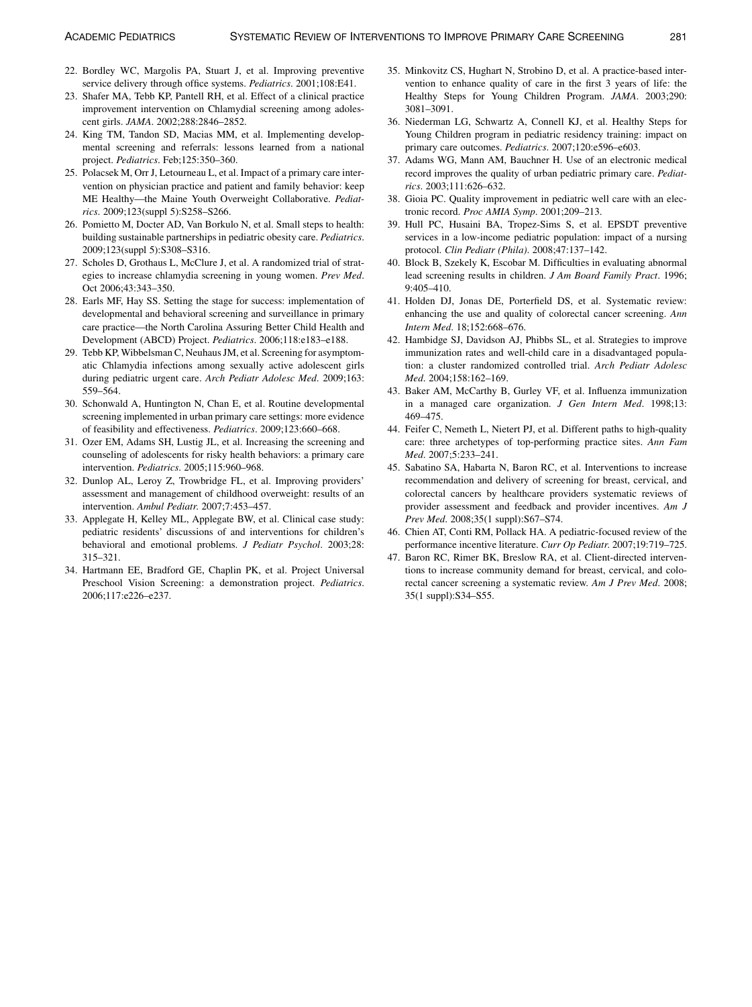- <span id="page-12-0"></span>22. Bordley WC, Margolis PA, Stuart J, et al. Improving preventive service delivery through office systems. Pediatrics. 2001;108:E41.
- 23. Shafer MA, Tebb KP, Pantell RH, et al. Effect of a clinical practice improvement intervention on Chlamydial screening among adolescent girls. JAMA. 2002;288:2846–2852.
- 24. King TM, Tandon SD, Macias MM, et al. Implementing developmental screening and referrals: lessons learned from a national project. Pediatrics. Feb;125:350-360.
- 25. Polacsek M, Orr J, Letourneau L, et al. Impact of a primary care intervention on physician practice and patient and family behavior: keep ME Healthy—the Maine Youth Overweight Collaborative. Pediatrics. 2009;123(suppl 5):S258–S266.
- 26. Pomietto M, Docter AD, Van Borkulo N, et al. Small steps to health: building sustainable partnerships in pediatric obesity care. Pediatrics. 2009;123(suppl 5):S308–S316.
- 27. Scholes D, Grothaus L, McClure J, et al. A randomized trial of strategies to increase chlamydia screening in young women. Prev Med. Oct 2006;43:343–350.
- 28. Earls MF, Hay SS. Setting the stage for success: implementation of developmental and behavioral screening and surveillance in primary care practice—the North Carolina Assuring Better Child Health and Development (ABCD) Project. Pediatrics. 2006;118:e183–e188.
- 29. Tebb KP, Wibbelsman C, Neuhaus JM, et al. Screening for asymptomatic Chlamydia infections among sexually active adolescent girls during pediatric urgent care. Arch Pediatr Adolesc Med. 2009;163: 559–564.
- 30. Schonwald A, Huntington N, Chan E, et al. Routine developmental screening implemented in urban primary care settings: more evidence of feasibility and effectiveness. Pediatrics. 2009;123:660–668.
- 31. Ozer EM, Adams SH, Lustig JL, et al. Increasing the screening and counseling of adolescents for risky health behaviors: a primary care intervention. Pediatrics. 2005;115:960–968.
- 32. Dunlop AL, Leroy Z, Trowbridge FL, et al. Improving providers' assessment and management of childhood overweight: results of an intervention. Ambul Pediatr. 2007;7:453–457.
- 33. Applegate H, Kelley ML, Applegate BW, et al. Clinical case study: pediatric residents' discussions of and interventions for children's behavioral and emotional problems. J Pediatr Psychol. 2003;28: 315–321.
- 34. Hartmann EE, Bradford GE, Chaplin PK, et al. Project Universal Preschool Vision Screening: a demonstration project. Pediatrics. 2006;117:e226–e237.
- 35. Minkovitz CS, Hughart N, Strobino D, et al. A practice-based intervention to enhance quality of care in the first 3 years of life: the Healthy Steps for Young Children Program. JAMA. 2003;290: 3081–3091.
- 36. Niederman LG, Schwartz A, Connell KJ, et al. Healthy Steps for Young Children program in pediatric residency training: impact on primary care outcomes. Pediatrics. 2007;120:e596-e603.
- 37. Adams WG, Mann AM, Bauchner H. Use of an electronic medical record improves the quality of urban pediatric primary care. Pediatrics. 2003;111:626–632.
- 38. Gioia PC. Quality improvement in pediatric well care with an electronic record. Proc AMIA Symp. 2001;209–213.
- 39. Hull PC, Husaini BA, Tropez-Sims S, et al. EPSDT preventive services in a low-income pediatric population: impact of a nursing protocol. Clin Pediatr (Phila). 2008;47:137–142.
- 40. Block B, Szekely K, Escobar M. Difficulties in evaluating abnormal lead screening results in children. J Am Board Family Pract. 1996; 9:405–410.
- 41. Holden DJ, Jonas DE, Porterfield DS, et al. Systematic review: enhancing the use and quality of colorectal cancer screening. Ann Intern Med. 18;152:668–676.
- 42. Hambidge SJ, Davidson AJ, Phibbs SL, et al. Strategies to improve immunization rates and well-child care in a disadvantaged population: a cluster randomized controlled trial. Arch Pediatr Adolesc Med. 2004;158:162–169.
- 43. Baker AM, McCarthy B, Gurley VF, et al. Influenza immunization in a managed care organization. J Gen Intern Med. 1998;13: 469–475.
- 44. Feifer C, Nemeth L, Nietert PJ, et al. Different paths to high-quality care: three archetypes of top-performing practice sites. Ann Fam Med. 2007;5:233–241.
- 45. Sabatino SA, Habarta N, Baron RC, et al. Interventions to increase recommendation and delivery of screening for breast, cervical, and colorectal cancers by healthcare providers systematic reviews of provider assessment and feedback and provider incentives. Am J Prev Med. 2008;35(1 suppl):S67–S74.
- 46. Chien AT, Conti RM, Pollack HA. A pediatric-focused review of the performance incentive literature. Curr Op Pediatr. 2007;19:719–725.
- 47. Baron RC, Rimer BK, Breslow RA, et al. Client-directed interventions to increase community demand for breast, cervical, and colorectal cancer screening a systematic review. Am J Prev Med. 2008; 35(1 suppl):S34–S55.